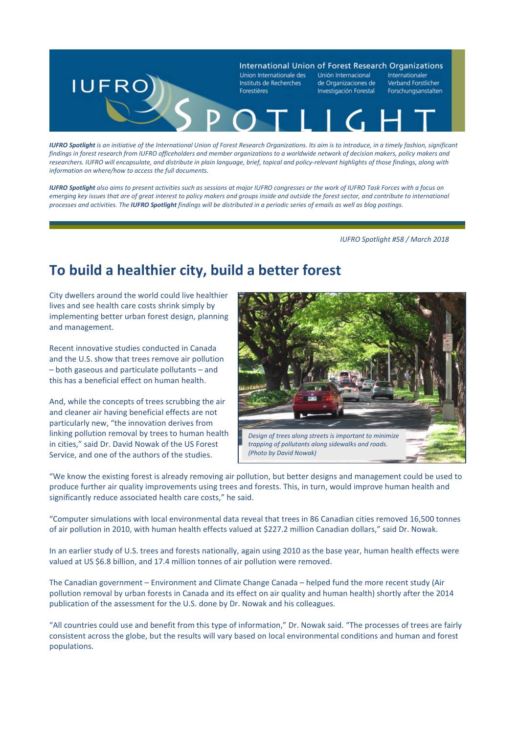

*IUFRO Spotlight is an initiative of the International Union of Forest Research Organizations. Its aim is to introduce, in a timely fashion, significant findings in forest research from IUFRO officeholders and member organizations to a worldwide network of decision makers, policy makers and researchers. IUFRO will encapsulate, and distribute in plain language, brief, topical and policy-relevant highlights of those findings, along with information on where/how to access the full documents.* 

*IUFRO Spotlight also aims to present activities such as sessions at major IUFRO congresses or the work of IUFRO Task Forces with a focus on emerging key issues that are of great interest to policy makers and groups inside and outside the forest sector, and contribute to international processes and activities. The IUFRO Spotlight findings will be distributed in a periodic series of emails as well as blog postings.*

 *IUFRO Spotlight #58 / March 2018*

## **To build a healthier city, build a better forest**

City dwellers around the world could live healthier lives and see health care costs shrink simply by implementing better urban forest design, planning and management.

Recent innovative studies conducted in Canada and the U.S. show that trees remove air pollution – both gaseous and particulate pollutants – and this has a beneficial effect on human health.

And, while the concepts of trees scrubbing the air and cleaner air having beneficial effects are not particularly new, "the innovation derives from linking pollution removal by trees to human health in cities," said Dr. David Nowak of the US Forest Service, and one of the authors of the studies.



"We know the existing forest is already removing air pollution, but better designs and management could be used to produce further air quality improvements using trees and forests. This, in turn, would improve human health and significantly reduce associated health care costs," he said.

"Computer simulations with local environmental data reveal that trees in 86 Canadian cities removed 16,500 tonnes of air pollution in 2010, with human health effects valued at \$227.2 million Canadian dollars," said Dr. Nowak.

In an earlier study of U.S. trees and forests nationally, again using 2010 as the base year, human health effects were valued at US \$6.8 billion, and 17.4 million tonnes of air pollution were removed.

The Canadian government – Environment and Climate Change Canada – helped fund the more recent study (Air pollution removal by urban forests in Canada and its effect on air quality and human health) shortly after the 2014 publication of the assessment for the U.S. done by Dr. Nowak and his colleagues.

"All countries could use and benefit from this type of information," Dr. Nowak said. "The processes of trees are fairly consistent across the globe, but the results will vary based on local environmental conditions and human and forest populations.